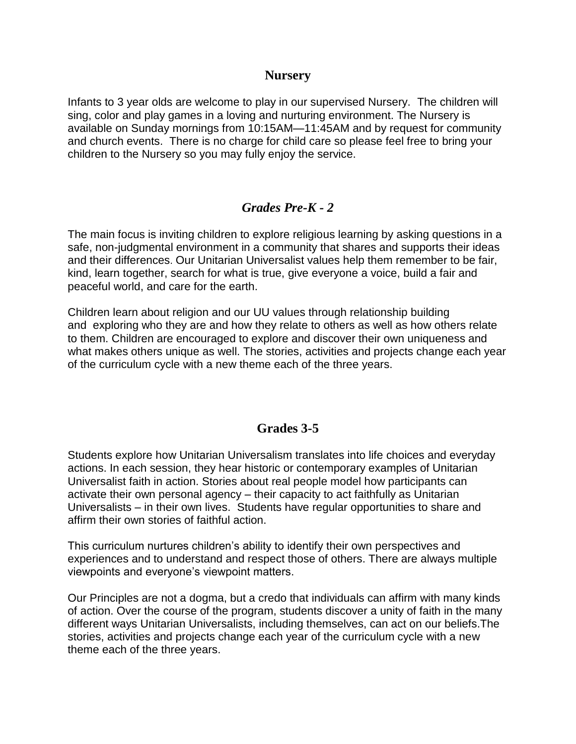### **Nursery**

Infants to 3 year olds are welcome to play in our supervised Nursery. The children will sing, color and play games in a loving and nurturing environment. The Nursery is available on Sunday mornings from 10:15AM—11:45AM and by request for community and church events. There is no charge for child care so please feel free to bring your children to the Nursery so you may fully enjoy the service.

## *Grades Pre-K - 2*

The main focus is inviting children to explore religious learning by asking questions in a safe, non-judgmental environment in a community that shares and supports their ideas and their differences. Our Unitarian Universalist values help them remember to be fair, kind, learn together, search for what is true, give everyone a voice, build a fair and peaceful world, and care for the earth.

Children learn about religion and our UU values through relationship building and exploring who they are and how they relate to others as well as how others relate to them. Children are encouraged to explore and discover their own uniqueness and what makes others unique as well. The stories, activities and projects change each year of the curriculum cycle with a new theme each of the three years.

# **Grades 3-5**

Students explore how Unitarian Universalism translates into life choices and everyday actions. In each session, they hear historic or contemporary examples of Unitarian Universalist faith in action. Stories about real people model how participants can activate their own personal agency – their capacity to act faithfully as Unitarian Universalists – in their own lives. Students have regular opportunities to share and affirm their own stories of faithful action.

This curriculum nurtures children's ability to identify their own perspectives and experiences and to understand and respect those of others. There are always multiple viewpoints and everyone's viewpoint matters.

Our Principles are not a dogma, but a credo that individuals can affirm with many kinds of action. Over the course of the program, students discover a unity of faith in the many different ways Unitarian Universalists, including themselves, can act on our beliefs.The stories, activities and projects change each year of the curriculum cycle with a new theme each of the three years.